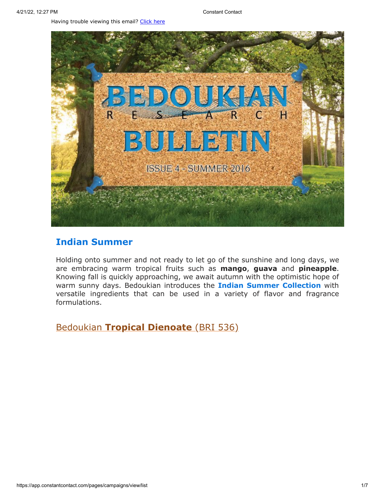Having trouble viewing this email? [Click](http://campaign.r20.constantcontact.com/render?preview=true&m=1119604276206&ca=b340b749-98a9-4dbe-95e1-f9ad779977f0&id=preview) here



## **Indian Summer**

Holding onto summer and not ready to let go of the sunshine and long days, we are embracing warm tropical fruits such as **mango**, **guava** and **pineapple**. Knowing fall is quickly approaching, we await autumn with the optimistic hope of warm sunny days. Bedoukian introduces the **Indian Summer Collection** with versatile ingredients that can be used in a variety of flavor and fragrance formulations.

Bedoukian **[Tropical Dienoate](http://search.bedoukian.com/flavorfragrance/ff_product.asp?method=POP&id=536)** (BRI 536)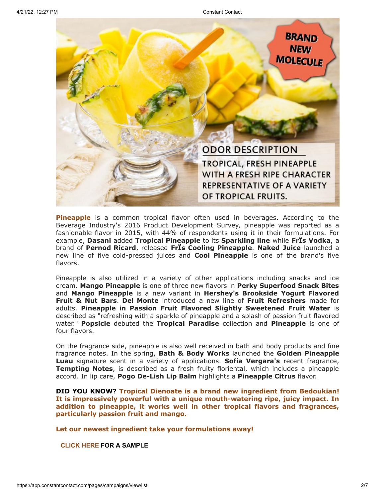

**Pineapple** is a common tropical flavor often used in beverages. According to the Beverage Industry's 2016 Product Development Survey, pineapple was reported as a fashionable flavor in 2015, with 44% of respondents using it in their formulations. For example, **Dasani** added **Tropical Pineapple** to its **Sparkling line** while **FrÏs Vodka**, a brand of **Pernod Ricard**, released **FrÏs Cooling Pineapple**. **Naked Juice** launched a new line of five cold-pressed juices and **Cool Pineapple** is one of the brand's five flavors.

Pineapple is also utilized in a variety of other applications including snacks and ice cream. **Mango Pineapple** is one of three new flavors in **Perky Superfood Snack Bites** and **Mango Pineapple** is a new variant in **Hershey's Brookside Yogurt Flavored Fruit & Nut Bars**. **Del Monte** introduced a new line of **Fruit Refreshers** made for adults. **Pineapple in Passion Fruit Flavored Slightly Sweetened Fruit Water** is described as "refreshing with a sparkle of pineapple and a splash of passion fruit flavored water." **Popsicle** debuted the **Tropical Paradise** collection and **Pineapple** is one of four flavors.

On the fragrance side, pineapple is also well received in bath and body products and fine fragrance notes. In the spring, **Bath & Body Works** launched the **Golden Pineapple Luau** signature scent in a variety of applications. **Sofía Vergara's** recent fragrance, **Tempting Notes**, is described as a fresh fruity floriental, which includes a pineapple accord. In lip care, **Pogo De-Lish Lip Balm** highlights a **Pineapple Citrus** flavor.

**DID YOU KNOW? Tropical Dienoate is a brand new ingredient from Bedoukian! It is impressively powerful with a unique mouth-watering ripe, juicy impact. In addition to pineapple, it works well in other tropical flavors and fragrances, particularly passion fruit and mango.**

**Let our newest ingredient take your formulations away!**

**[CLICK](mailto:customerservice@bedoukian.com?subject=Bedoukian%20Bulletin%20-%20Summer%202016&body=Hello%2C%0A%0AI%20would%20like%20to%20request%20free%20samples%20of%20each%20product%20advertised%20in%20the%20Summer%202016%20Bedoukian%20Bulletin!) HERE FOR A SAMPLE**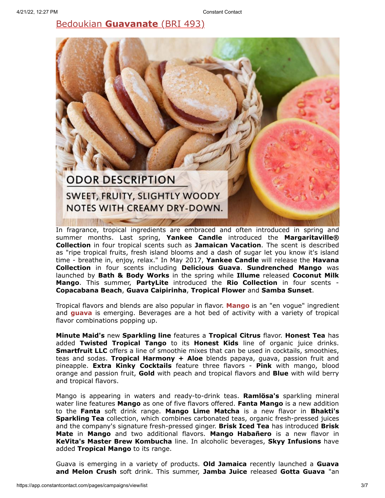Bedoukian **[Guavanate](http://search.bedoukian.com/flavorfragrance/ff_product.asp?method=POP&id=493)** (BRI 493)



In fragrance, tropical [ingredients](http://search.bedoukian.com/flavorfragrance/ff_product.asp?method=POP&id=493) are embraced and often introduced in spring and summer months. Last spring, **Yankee Candle** introduced the **Margaritaville® Collection** in four tropical scents such as **Jamaican Vacation**. The scent is described as "ripe tropical fruits, fresh island blooms and a dash of sugar let you know it's island time - breathe in, enjoy, relax." In May 2017, **Yankee Candle** will release the **Havana Collection** in four scents including **Delicious Guava**. **Sundrenched Mango** was launched by **Bath & Body Works** in the spring while **Illume** released **Coconut Milk Mango**. This summer, **PartyLite** introduced the **Rio Collection** in four scents - **Copacabana Beach**, **Guava Caipirinha**, **Tropical Flower** and **Samba Sunset**.

Tropical flavors and blends are also popular in flavor. **Mango** is an "en vogue" ingredient and **guava** is emerging. Beverages are a hot bed of activity with a variety of tropical flavor combinations popping up.

**Minute Maid's** new **Sparkling line** features a **Tropical Citrus** flavor. **Honest Tea** has added **Twisted Tropical Tango** to its **Honest Kids** line of organic juice drinks. **Smartfruit LLC** offers a line of smoothie mixes that can be used in cocktails, smoothies, teas and sodas. **Tropical Harmony + Aloe** blends papaya, guava, passion fruit and pineapple. **Extra Kinky Cocktails** feature three flavors - **Pink** with mango, blood orange and passion fruit, **Gold** with peach and tropical flavors and **Blue** with wild berry and tropical flavors.

Mango is appearing in waters and ready-to-drink teas. **Ramlösa's** sparkling mineral water line features **Mango** as one of five flavors offered. **Fanta Mango** is a new addition to the **Fanta** soft drink range. **Mango Lime Matcha** is a new flavor in **Bhakti's Sparkling Tea** collection, which combines carbonated teas, organic fresh-pressed juices and the company's signature fresh-pressed ginger. **Brisk Iced Tea** has introduced **Brisk Mate** in **Mango** and two additional flavors. **Mango Habañero** is a new flavor in **KeVita's Master Brew Kombucha** line. In alcoholic beverages, **Skyy Infusions** have added **Tropical Mango** to its range.

Guava is emerging in a variety of products. **Old Jamaica** recently launched a **Guava and Melon Crush** soft drink. This summer, **Jamba Juice** released **Gotta Guava** "an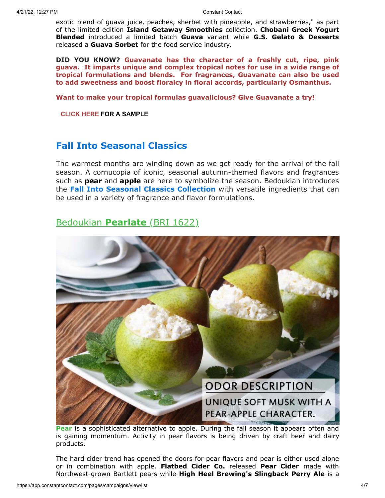exotic blend of guava juice, peaches, sherbet with pineapple, and strawberries," as part of the limited edition **Island Getaway Smoothies** collection. **Chobani Greek Yogurt Blended** introduced a limited batch **Guava** variant while **G.S. Gelato & Desserts** released a **Guava Sorbet** for the food service industry.

**DID YOU KNOW? Guavanate has the character of a freshly cut, ripe, pink guava. It imparts unique and complex tropical notes for use in a wide range of tropical formulations and blends. For fragrances, Guavanate can also be used to add sweetness and boost floralcy in floral accords, particularly Osmanthus.**

**Want to make your tropical formulas guavalicious? Give Guavanate a try!**

**[CLICK](mailto:customerservice@bedoukian.com?subject=Bedoukian%20Bulletin%20-%20Summer%202016&body=Hello%2C%0A%0AI%20would%20like%20to%20request%20free%20samples%20of%20each%20product%20advertised%20in%20the%20Summer%202016%20Bedoukian%20Bulletin!) HERE FOR A SAMPLE**

## **Fall Into Seasonal Classics**

The warmest months are winding down as we get ready for the arrival of the fall season. A cornucopia of iconic, seasonal autumn-themed flavors and fragrances such as **pear** and **apple** are here to symbolize the season. Bedoukian introduces the **Fall Into Seasonal Classics Collection** with versatile ingredients that can be used in a variety of fragrance and flavor formulations.

## Bedoukian **[Pearlate](http://search.bedoukian.com/flavorfragrance/ff_product.asp?method=POP&id=1622)** (BRI 1622)



Pear is a [sophisticated](http://search.bedoukian.com/flavorfragrance/ff_product.asp?method=POP&id=1622) alternative to apple. During the fall season it appears often and is gaining momentum. Activity in pear flavors is being driven by craft beer and dairy products.

The hard cider trend has opened the doors for pear flavors and pear is either used alone or in combination with apple. **Flatbed Cider Co.** released **Pear Cider** made with Northwest-grown Bartlett pears while **High Heel Brewing's Slingback Perry Ale** is a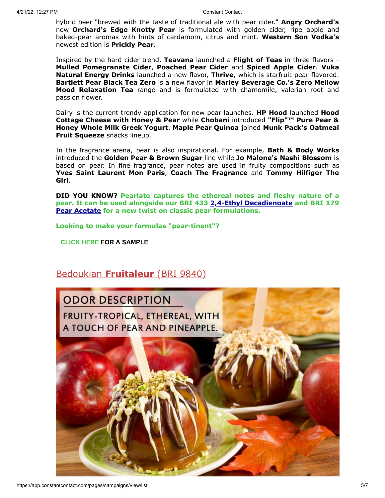hybrid beer "brewed with the taste of traditional ale with pear cider." **Angry Orchard's** new **Orchard's Edge Knotty Pear** is formulated with golden cider, ripe apple and baked-pear aromas with hints of cardamom, citrus and mint. **Western Son Vodka's** newest edition is **Prickly Pear**.

Inspired by the hard cider trend, **Teavana** launched a **Flight of Teas** in three flavors - **Mulled Pomegranate Cider**, **Poached Pear Cider** and **Spiced Apple Cider**. **Vuka Natural Energy Drinks** launched a new flavor, **Thrive**, which is starfruit-pear-flavored. **Bartlett Pear Black Tea Zero** is a new flavor in **Marley Beverage Co.'s Zero Mellow Mood Relaxation Tea** range and is formulated with chamomile, valerian root and passion flower.

Dairy is the current trendy application for new pear launches. **HP Hood** launched **Hood Cottage Cheese with Honey & Pear** while **Chobani** introduced **"Flip"™ Pure Pear & Honey Whole Milk Greek Yogurt**. **Maple Pear Quinoa** joined **Munk Pack's Oatmeal Fruit Squeeze** snacks lineup.

In the fragrance arena, pear is also inspirational. For example, **Bath & Body Works** introduced the **Golden Pear & Brown Sugar** line while **Jo Malone's Nashi Blossom** is based on pear. In fine fragrance, pear notes are used in fruity compositions such as **Yves Saint Laurent Mon Paris**, **Coach The Fragrance** and **Tommy Hilfiger The Girl**.

**DID YOU KNOW? Pearlate captures the ethereal notes and fleshy nature of a pear. It can be used alongside our BRI 433 [2,4-Ethyl Decadienoate](http://search.bedoukian.com/flavorfragrance/ff_product.asp?method=POP&id=433) and BRI 179 [Pear Acetate](http://search.bedoukian.com/flavorfragrance/ff_product.asp?method=POP&id=179) for a new twist on classic pear formulations.**

**Looking to make your formulas "pear-tinent"?**

**[CLICK](mailto:customerservice@bedoukian.com?subject=Bedoukian%20Bulletin%20-%20Summer%202016&body=Hello%2C%0A%0AI%20would%20like%20to%20request%20free%20samples%20of%20each%20product%20advertised%20in%20the%20Summer%202016%20Bedoukian%20Bulletin!) HERE FOR A SAMPLE**

## [Bedoukian](http://bedoukian.com/products/product.asp?id=410) **[Fruitaleur](http://search.bedoukian.com/flavorfragrance/ff_product.asp?method=POP&id=9840)** (BRI 9840)

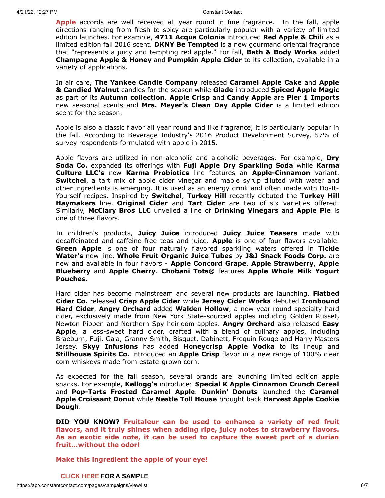**Apple** accords are well received all year round in fine fragrance. In the fall, apple directions ranging from fresh to spicy are particularly popular with a variety of limited edition launches. For example, **4711 Acqua Colonia** introduced **Red Apple & Chili** as a limited edition fall 2016 scent. **DKNY Be Tempted** is a new gourmand oriental fragrance that "represents a juicy and tempting red apple." For fall, **Bath & Body Works** added **Champagne Apple & Honey** and **Pumpkin Apple Cider** to its collection, available in a variety of applications.

In air care, **The Yankee Candle Company** released **Caramel Apple Cake** and **Apple & Candied Walnut** candles for the season while **Glade** introduced **Spiced Apple Magic** as part of its **Autumn collection**. **Apple Crisp** and **Candy Apple** are **Pier 1 Imports** new seasonal scents and **Mrs. Meyer's Clean Day Apple Cider** is a limited edition scent for the season.

Apple is also a classic flavor all year round and like fragrance, it is particularly popular in the fall. According to Beverage Industry's 2016 Product Development Survey, 57% of survey respondents formulated with apple in 2015.

Apple flavors are utilized in non-alcoholic and alcoholic beverages. For example, **Dry Soda Co.** expanded its offerings with **Fuji Apple Dry Sparkling Soda** while **Karma Culture LLC's** new **Karma Probiotics** line features an **Apple-Cinnamon** variant. **Switchel**, a tart mix of apple cider vinegar and maple syrup diluted with water and other ingredients is emerging. It is used as an energy drink and often made with Do-It-Yourself recipes. Inspired by **Switchel**, **Turkey Hill** recently debuted the **Turkey Hill Haymakers** line. **Original Cider** and **Tart Cider** are two of six varieties offered. Similarly, **McClary Bros LLC** unveiled a line of **Drinking Vinegars** and **Apple Pie** is one of three flavors.

In children's products, **Juicy Juice** introduced **Juicy Juice Teasers** made with decaffeinated and caffeine-free teas and juice. **Apple** is one of four flavors available. **Green Apple** is one of four naturally flavored sparkling waters offered in **Tickle Water's** new line. **Whole Fruit Organic Juice Tubes** by **J&J Snack Foods Corp.** are new and available in four flavors - **Apple Concord Grape**, **Apple Strawberry**, **Apple Blueberry** and **Apple Cherry**. **Chobani Tots®** features **Apple Whole Milk Yogurt Pouches**.

Hard cider has become mainstream and several new products are launching. **Flatbed Cider Co.** released **Crisp Apple Cider** while **Jersey Cider Works** debuted **Ironbound Hard Cider**. **Angry Orchard** added **Walden Hollow**, a new year-round specialty hard cider, exclusively made from New York State-sourced apples including Golden Russet, Newton Pippen and Northern Spy heirloom apples. **Angry Orchard** also released **Easy Apple**, a less-sweet hard cider, crafted with a blend of culinary apples, including Braeburn, Fuji, Gala, Granny Smith, Bisquet, Dabinett, Frequin Rouge and Harry Masters Jersey. **Skyy Infusions** has added **Honeycrisp Apple Vodka** to its lineup and **Stillhouse Spirits Co.** introduced an **Apple Crisp** flavor in a new range of 100% clear corn whiskeys made from estate-grown corn.

As expected for the fall season, several brands are launching limited edition apple snacks. For example, **Kellogg's** introduced **Special K Apple Cinnamon Crunch Cereal** and **Pop-Tarts Frosted Caramel Apple**. **Dunkin' Donuts** launched the **Caramel Apple Croissant Donut** while **Nestle Toll House** brought back **Harvest Apple Cookie Dough**.

**DID YOU KNOW? Fruitaleur can be used to enhance a variety of red fruit flavors, and it truly shines when adding ripe, juicy notes to strawberry flavors. As an exotic side note, it can be used to capture the sweet part of a durian fruit...without the odor!**

**Make this ingredient the apple of your eye!**